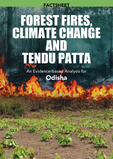# Forest Fires, CLIMATE CHANGE and Tendu Patta **FACTSHEET**

An Evidence-based Analysis for **Odisha** 

17<br>|<br>|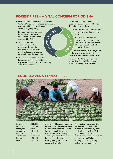# Forest fires – a vital concern for Odisha

 $Z_{\lambda_{\rm O}}$ 

Change E

 $\mathbf{z}$  $\mathbf{u}$ 

- • Global temperature increase will exceed 1.5°C & 2°C during the 21st century, making extensive mitigation & adaptation action an urgent priority.
- • Extreme weather events are becoming more frequent and intense – being closely witnessed by Odisha.
- The state has done commendably well in rolling out disaster risk reduction measures, but now needs to focus on proactive approach towards mitigation.
- The issue of increasing forest fire incidences needs to be addressed explicitly due to its circular relationship with climate change.
- Carbon sequestration benefits of forests are being threatened by rising degradation/forest fires.
- Over 43% of Odisha's forest area is extremely to moderately fire prone.  $\hat{S}$ 
	- 51,968 forest fires were recorded in the state during the last forest fire season (Nov 2020-June 2021), highest amongst all states.
	- While tracking & alert systems have improved, control & management remains inadequate.
- • Limited understanding of specific responsible factors (95% humanmade), restricting focused action.

 $\mathsf{u}$  $\mathsf{c}$  $\rightarrow$  $\mathcal{F}$  $\dot{\delta}$  $\zeta$ 

## Tendu leaves & forest fires



Leaves of tendu or *Diospyros melanoxylon* tree are widely used for making bidis.

>300,000 mt of tendu leaves collected every year for producing >400 billion bidi sticks.

Uncontrolled fires are frequently reported in tendu areas as there is a traditional practice of using fires to cut back the young exposed shoots of tendu plant and to injure its roots so that they may coppice and produce fresh, green, good quality leaves for bidi rolling.

The practice has no scientific validity and is prohibited by law and discouraged by states, but is widely practiced. Odisha government sets aside a budget for funding bush cutting of tendu plants (₹35 crore for crop year 2021) to stop collectors from using fires.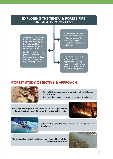# Exploring the tendu & forest fire linkage is important

- A prominent non-timber forest produce (NTFP) supported strongly by the state machinery – nationalized produce in Odisha since 1961
- • Odisha is the fifth largest producer of tendu leaves in the country, producing over 3.6 lakh standard bags annually (2017).

Tendu is used primarily to manufacture bidis, estimated to cost the nation ₹800 billion annually in illnesses and early deaths.

Significant contribution to forest health degradation, causing massive loss of flora and fauna and depletion of soil and water quality

## iFOREST Study Objective & Approach



- To establish linkages between collection of tendu leaves and forest fires
- To assess the impact in terms of burnt area & emissions

Focus on Chhattisgarh, Maharashtra & Odisha - 36 per cent of forest fires incidences, 35 per cent of tendu leaf collection





Utilize available satellite data on forest fires, vegetation type & emissions

Mix of mapping, spatial, statistical, modeling and back-of-theenvelope analysis tools

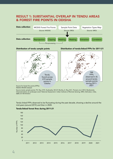# Result 1: Substantial overlap in tendu areas & forest fire points in Odisha



Distribution of tendu sample points Distribution of tendu-linked FFPs for 2011-21



Source for forest fire points (FFPs): NASA's MODIS dataset

Source tendu sample points: P.S. Roy, S.P.S. Kushwaha, M.S.R. Murthy, A. Roy, M.C. Porwal, et al. 2012. Biodiversity Characterization at Landscape Level: National Assessment. Indian Institute of Remote Sensing, ISRO, Dehradun, India, ISBN: 81-901418-8-0

Tendu-linked FFPs observed to be fluctuating during the past decade, showing a decline around the mid-years (around 2015) and then in 2020.



#### Tendu-linked forest fires during 2011-21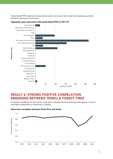Tendu-linked FFPs observed to be predominantly occurring in Sal mixed moist deciduous and Sal mixed dry deciduous forest area.



#### Vegetation type associated with tendu-linked FFPs in 2011-21

## Result 2: Strong positive correlation emerging between tendu & forest fires

Correlation coefficient of over 0.8 for most years, indicated tendu producing areas appear to have a very high susceptibility to forest fires in Odisha.



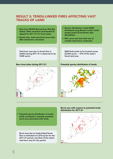## Result 3: Tendu-linked fires affecting vast tracks of land

- • Data from MODIS Burned Area Monthly Global; 500m resolution downloaded & clipped for 2011-21 for focus states
- • Month-wise, state-wise burnt area index (BAI) distribution calculated

Total burn area due to forest fires in Odisha during 2011-21 is observed to be 9,085 sq km



- • Species distribution model (SDM) developed using Maxent model, tendu sample points & bioclimatic data (WorldClim)
- ROC curve and Jack knife test of variable importance conducted

SDM finds tendu to be located across 22,904 sq km, ~ 37% of the state's forest land area

#### Burn Area Index during 2011-21 Potential species distribution of tendu



• Potential species distribution of tendu & BAI overlayed to calculate potential burnt area associated with tendu

Burnt area due to tendu-linked forest fires is estimated at 3,018 sq km for the 2011-21 period, one-third of the state's total burn area for the period

#### Burnt area with respect to potential tendu distribution for 2011-21

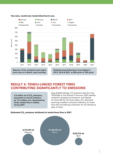

#### Year-wise, month-wise tendu-linked burnt area

burnt area is in March, April and May

Modeled tendu-linked burnt area highest in 2012, 2014 & 2021, at 500 sq km to 700 sq km

# Result 4: Tendu-linked forest fires contributing significantly to emissions

3.8 million mt of CO<sub>2</sub> emissions, equivalent to annual emissions by 15.2 million cars, dominated by tendu related fires in Odisha during 2021

Data & Methodology: CO emissions data from the TROPOMI on the Sentinel 5 Precursor (S5P) satellite, treated for background emissions, and clipped for tendu BAI for the three states. CO $_{\textrm{\tiny{2}}}$  estimated assuming modified combustion efficiency for forest fires with smouldering combustion for dry deciduous type of forest.

### Estimated CO<sub>2</sub> emissions attributed to tendu-forest fires in 2021